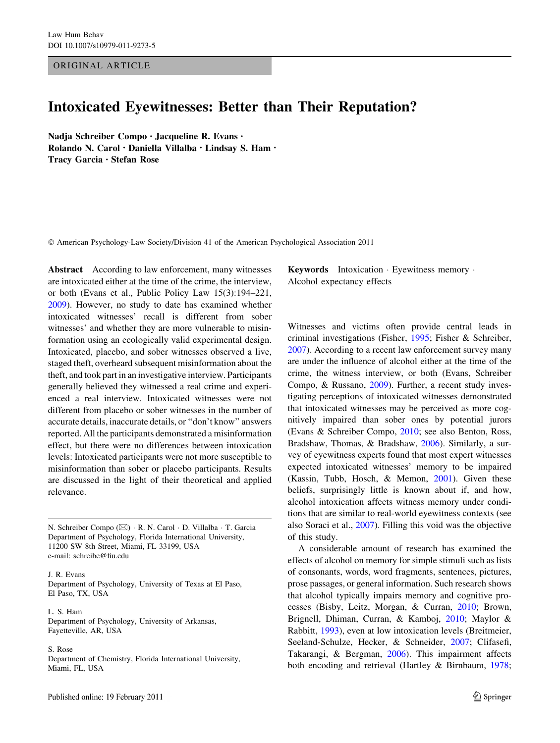ORIGINAL ARTICLE

# Intoxicated Eyewitnesses: Better than Their Reputation?

Nadja Schreiber Compo • Jacqueline R. Evans • Rolando N. Carol • Daniella Villalba • Lindsay S. Ham • Tracy Garcia • Stefan Rose

© American Psychology-Law Society/Division 41 of the American Psychological Association 2011

Abstract According to law enforcement, many witnesses are intoxicated either at the time of the crime, the interview, or both (Evans et al., Public Policy Law 15(3):194–221, [2009\)](#page-11-0). However, no study to date has examined whether intoxicated witnesses' recall is different from sober witnesses' and whether they are more vulnerable to misinformation using an ecologically valid experimental design. Intoxicated, placebo, and sober witnesses observed a live, staged theft, overheard subsequent misinformation about the theft, and took part in an investigative interview. Participants generally believed they witnessed a real crime and experienced a real interview. Intoxicated witnesses were not different from placebo or sober witnesses in the number of accurate details, inaccurate details, or ''don't know'' answers reported. All the participants demonstrated a misinformation effect, but there were no differences between intoxication levels: Intoxicated participants were not more susceptible to misinformation than sober or placebo participants. Results are discussed in the light of their theoretical and applied relevance.

N. Schreiber Compo (⊠) · R. N. Carol · D. Villalba · T. Garcia Department of Psychology, Florida International University, 11200 SW 8th Street, Miami, FL 33199, USA e-mail: schreibe@fiu.edu

J. R. Evans

Department of Psychology, University of Texas at El Paso, El Paso, TX, USA

L. S. Ham Department of Psychology, University of Arkansas, Fayetteville, AR, USA

S. Rose

Department of Chemistry, Florida International University, Miami, FL, USA

Keywords Intoxication - Eyewitness memory - Alcohol expectancy effects

Witnesses and victims often provide central leads in criminal investigations (Fisher, [1995;](#page-11-0) Fisher & Schreiber, [2007](#page-11-0)). According to a recent law enforcement survey many are under the influence of alcohol either at the time of the crime, the witness interview, or both (Evans, Schreiber Compo, & Russano, [2009](#page-11-0)). Further, a recent study investigating perceptions of intoxicated witnesses demonstrated that intoxicated witnesses may be perceived as more cognitively impaired than sober ones by potential jurors (Evans & Schreiber Compo, [2010;](#page-11-0) see also Benton, Ross, Bradshaw, Thomas, & Bradshaw, [2006\)](#page-11-0). Similarly, a survey of eyewitness experts found that most expert witnesses expected intoxicated witnesses' memory to be impaired (Kassin, Tubb, Hosch, & Memon, [2001\)](#page-11-0). Given these beliefs, surprisingly little is known about if, and how, alcohol intoxication affects witness memory under conditions that are similar to real-world eyewitness contexts (see also Soraci et al., [2007](#page-12-0)). Filling this void was the objective of this study.

A considerable amount of research has examined the effects of alcohol on memory for simple stimuli such as lists of consonants, words, word fragments, sentences, pictures, prose passages, or general information. Such research shows that alcohol typically impairs memory and cognitive processes (Bisby, Leitz, Morgan, & Curran, [2010;](#page-11-0) Brown, Brignell, Dhiman, Curran, & Kamboj, [2010](#page-11-0); Maylor & Rabbitt, [1993\)](#page-11-0), even at low intoxication levels (Breitmeier, Seeland-Schulze, Hecker, & Schneider, [2007](#page-11-0); Clifasefi, Takarangi, & Bergman, [2006\)](#page-11-0). This impairment affects both encoding and retrieval (Hartley & Birnbaum, [1978](#page-11-0);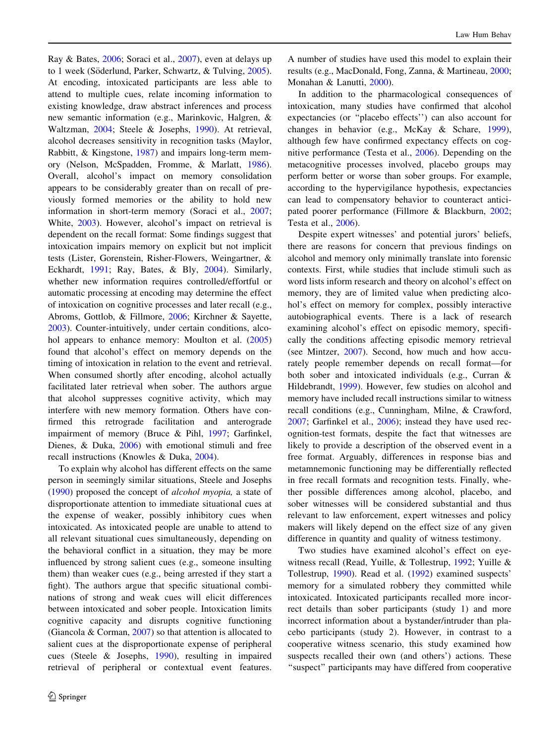Ray & Bates, [2006;](#page-12-0) Soraci et al., [2007](#page-12-0)), even at delays up to 1 week (Söderlund, Parker, Schwartz, & Tulving, [2005](#page-12-0)). At encoding, intoxicated participants are less able to attend to multiple cues, relate incoming information to existing knowledge, draw abstract inferences and process new semantic information (e.g., Marinkovic, Halgren, & Waltzman, [2004;](#page-11-0) Steele & Josephs, [1990\)](#page-12-0). At retrieval, alcohol decreases sensitivity in recognition tasks (Maylor, Rabbitt, & Kingstone, [1987\)](#page-11-0) and impairs long-term memory (Nelson, McSpadden, Fromme, & Marlatt, [1986](#page-12-0)). Overall, alcohol's impact on memory consolidation appears to be considerably greater than on recall of previously formed memories or the ability to hold new information in short-term memory (Soraci et al., [2007](#page-12-0); White, [2003\)](#page-12-0). However, alcohol's impact on retrieval is dependent on the recall format: Some findings suggest that intoxication impairs memory on explicit but not implicit tests (Lister, Gorenstein, Risher-Flowers, Weingartner, & Eckhardt, [1991;](#page-11-0) Ray, Bates, & Bly, [2004](#page-12-0)). Similarly, whether new information requires controlled/effortful or automatic processing at encoding may determine the effect of intoxication on cognitive processes and later recall (e.g., Abroms, Gottlob, & Fillmore, [2006](#page-11-0); Kirchner & Sayette, [2003\)](#page-11-0). Counter-intuitively, under certain conditions, alcohol appears to enhance memory: Moulton et al. ([2005\)](#page-12-0) found that alcohol's effect on memory depends on the timing of intoxication in relation to the event and retrieval. When consumed shortly after encoding, alcohol actually facilitated later retrieval when sober. The authors argue that alcohol suppresses cognitive activity, which may interfere with new memory formation. Others have confirmed this retrograde facilitation and anterograde impairment of memory (Bruce & Pihl, [1997](#page-11-0); Garfinkel, Dienes, & Duka, [2006\)](#page-11-0) with emotional stimuli and free recall instructions (Knowles & Duka, [2004](#page-11-0)).

To explain why alcohol has different effects on the same person in seemingly similar situations, Steele and Josephs [\(1990](#page-12-0)) proposed the concept of alcohol myopia, a state of disproportionate attention to immediate situational cues at the expense of weaker, possibly inhibitory cues when intoxicated. As intoxicated people are unable to attend to all relevant situational cues simultaneously, depending on the behavioral conflict in a situation, they may be more influenced by strong salient cues (e.g., someone insulting them) than weaker cues (e.g., being arrested if they start a fight). The authors argue that specific situational combinations of strong and weak cues will elicit differences between intoxicated and sober people. Intoxication limits cognitive capacity and disrupts cognitive functioning (Giancola & Corman, [2007\)](#page-11-0) so that attention is allocated to salient cues at the disproportionate expense of peripheral cues (Steele & Josephs, [1990\)](#page-12-0), resulting in impaired retrieval of peripheral or contextual event features.

A number of studies have used this model to explain their results (e.g., MacDonald, Fong, Zanna, & Martineau, [2000](#page-11-0); Monahan & Lanutti, [2000](#page-12-0)).

In addition to the pharmacological consequences of intoxication, many studies have confirmed that alcohol expectancies (or ''placebo effects'') can also account for changes in behavior (e.g., McKay & Schare, [1999](#page-11-0)), although few have confirmed expectancy effects on cognitive performance (Testa et al., [2006\)](#page-12-0). Depending on the metacognitive processes involved, placebo groups may perform better or worse than sober groups. For example, according to the hypervigilance hypothesis, expectancies can lead to compensatory behavior to counteract anticipated poorer performance (Fillmore & Blackburn, [2002](#page-11-0); Testa et al., [2006](#page-12-0)).

Despite expert witnesses' and potential jurors' beliefs, there are reasons for concern that previous findings on alcohol and memory only minimally translate into forensic contexts. First, while studies that include stimuli such as word lists inform research and theory on alcohol's effect on memory, they are of limited value when predicting alcohol's effect on memory for complex, possibly interactive autobiographical events. There is a lack of research examining alcohol's effect on episodic memory, specifically the conditions affecting episodic memory retrieval (see Mintzer, [2007\)](#page-11-0). Second, how much and how accurately people remember depends on recall format—for both sober and intoxicated individuals (e.g., Curran & Hildebrandt, [1999](#page-11-0)). However, few studies on alcohol and memory have included recall instructions similar to witness recall conditions (e.g., Cunningham, Milne, & Crawford, [2007](#page-11-0); Garfinkel et al., [2006](#page-11-0)); instead they have used recognition-test formats, despite the fact that witnesses are likely to provide a description of the observed event in a free format. Arguably, differences in response bias and metamnemonic functioning may be differentially reflected in free recall formats and recognition tests. Finally, whether possible differences among alcohol, placebo, and sober witnesses will be considered substantial and thus relevant to law enforcement, expert witnesses and policy makers will likely depend on the effect size of any given difference in quantity and quality of witness testimony.

Two studies have examined alcohol's effect on eyewitness recall (Read, Yuille, & Tollestrup, [1992](#page-12-0); Yuille & Tollestrup, [1990\)](#page-12-0). Read et al. [\(1992](#page-12-0)) examined suspects' memory for a simulated robbery they committed while intoxicated. Intoxicated participants recalled more incorrect details than sober participants (study 1) and more incorrect information about a bystander/intruder than placebo participants (study 2). However, in contrast to a cooperative witness scenario, this study examined how suspects recalled their own (and others') actions. These ''suspect'' participants may have differed from cooperative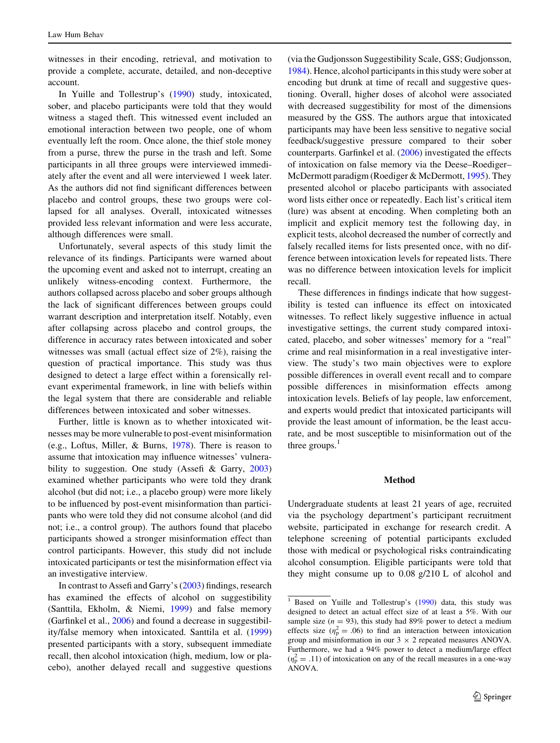witnesses in their encoding, retrieval, and motivation to provide a complete, accurate, detailed, and non-deceptive account.

In Yuille and Tollestrup's ([1990\)](#page-12-0) study, intoxicated, sober, and placebo participants were told that they would witness a staged theft. This witnessed event included an emotional interaction between two people, one of whom eventually left the room. Once alone, the thief stole money from a purse, threw the purse in the trash and left. Some participants in all three groups were interviewed immediately after the event and all were interviewed 1 week later. As the authors did not find significant differences between placebo and control groups, these two groups were collapsed for all analyses. Overall, intoxicated witnesses provided less relevant information and were less accurate, although differences were small.

Unfortunately, several aspects of this study limit the relevance of its findings. Participants were warned about the upcoming event and asked not to interrupt, creating an unlikely witness-encoding context. Furthermore, the authors collapsed across placebo and sober groups although the lack of significant differences between groups could warrant description and interpretation itself. Notably, even after collapsing across placebo and control groups, the difference in accuracy rates between intoxicated and sober witnesses was small (actual effect size of 2%), raising the question of practical importance. This study was thus designed to detect a large effect within a forensically relevant experimental framework, in line with beliefs within the legal system that there are considerable and reliable differences between intoxicated and sober witnesses.

Further, little is known as to whether intoxicated witnesses may be more vulnerable to post-event misinformation (e.g., Loftus, Miller, & Burns, [1978\)](#page-11-0). There is reason to assume that intoxication may influence witnesses' vulnera-bility to suggestion. One study (Assefi & Garry, [2003\)](#page-11-0) examined whether participants who were told they drank alcohol (but did not; i.e., a placebo group) were more likely to be influenced by post-event misinformation than participants who were told they did not consume alcohol (and did not; i.e., a control group). The authors found that placebo participants showed a stronger misinformation effect than control participants. However, this study did not include intoxicated participants or test the misinformation effect via an investigative interview.

In contrast to Assefi and Garry's [\(2003](#page-11-0)) findings, research has examined the effects of alcohol on suggestibility (Santtila, Ekholm, & Niemi, [1999](#page-12-0)) and false memory (Garfinkel et al., [2006](#page-11-0)) and found a decrease in suggestibility/false memory when intoxicated. Santtila et al. ([1999\)](#page-12-0) presented participants with a story, subsequent immediate recall, then alcohol intoxication (high, medium, low or placebo), another delayed recall and suggestive questions (via the Gudjonsson Suggestibility Scale, GSS; Gudjonsson, [1984](#page-11-0)). Hence, alcohol participants in this study were sober at encoding but drunk at time of recall and suggestive questioning. Overall, higher doses of alcohol were associated with decreased suggestibility for most of the dimensions measured by the GSS. The authors argue that intoxicated participants may have been less sensitive to negative social feedback/suggestive pressure compared to their sober counterparts. Garfinkel et al. [\(2006](#page-11-0)) investigated the effects of intoxication on false memory via the Deese–Roediger– McDermott paradigm (Roediger & McDermott, [1995](#page-12-0)). They presented alcohol or placebo participants with associated word lists either once or repeatedly. Each list's critical item (lure) was absent at encoding. When completing both an implicit and explicit memory test the following day, in explicit tests, alcohol decreased the number of correctly and falsely recalled items for lists presented once, with no difference between intoxication levels for repeated lists. There was no difference between intoxication levels for implicit recall.

These differences in findings indicate that how suggestibility is tested can influence its effect on intoxicated witnesses. To reflect likely suggestive influence in actual investigative settings, the current study compared intoxicated, placebo, and sober witnesses' memory for a ''real'' crime and real misinformation in a real investigative interview. The study's two main objectives were to explore possible differences in overall event recall and to compare possible differences in misinformation effects among intoxication levels. Beliefs of lay people, law enforcement, and experts would predict that intoxicated participants will provide the least amount of information, be the least accurate, and be most susceptible to misinformation out of the three groups. $<sup>1</sup>$ </sup>

## Method

Undergraduate students at least 21 years of age, recruited via the psychology department's participant recruitment website, participated in exchange for research credit. A telephone screening of potential participants excluded those with medical or psychological risks contraindicating alcohol consumption. Eligible participants were told that they might consume up to 0.08 g/210 L of alcohol and

<sup>&</sup>lt;sup>1</sup> Based on Yuille and Tollestrup's ([1990\)](#page-12-0) data, this study was designed to detect an actual effect size of at least a 5%. With our sample size ( $n = 93$ ), this study had 89% power to detect a medium effects size  $(\eta_{\rm p}^2 = .06)$  to find an interaction between intoxication group and misinformation in our 3  $\times$  2 repeated measures ANOVA. Furthermore, we had a 94% power to detect a medium/large effect  $(\eta_{\rm p}^2 = .11)$  of intoxication on any of the recall measures in a one-way ANOVA.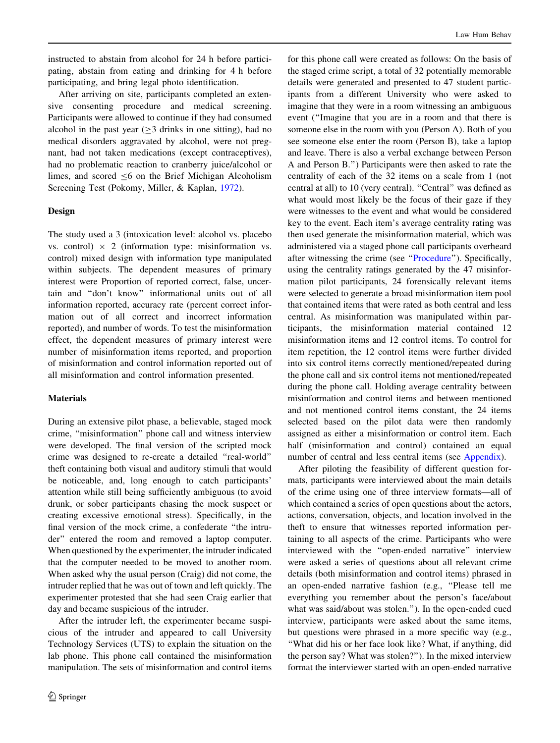<span id="page-3-0"></span>instructed to abstain from alcohol for 24 h before participating, abstain from eating and drinking for 4 h before participating, and bring legal photo identification.

After arriving on site, participants completed an extensive consenting procedure and medical screening. Participants were allowed to continue if they had consumed alcohol in the past year  $(\geq 3$  drinks in one sitting), had no medical disorders aggravated by alcohol, were not pregnant, had not taken medications (except contraceptives), had no problematic reaction to cranberry juice/alcohol or limes, and scored  $\leq 6$  on the Brief Michigan Alcoholism Screening Test (Pokomy, Miller, & Kaplan, [1972](#page-12-0)).

## Design

The study used a 3 (intoxication level: alcohol vs. placebo vs. control)  $\times$  2 (information type: misinformation vs. control) mixed design with information type manipulated within subjects. The dependent measures of primary interest were Proportion of reported correct, false, uncertain and ''don't know'' informational units out of all information reported, accuracy rate (percent correct information out of all correct and incorrect information reported), and number of words. To test the misinformation effect, the dependent measures of primary interest were number of misinformation items reported, and proportion of misinformation and control information reported out of all misinformation and control information presented.

## **Materials**

During an extensive pilot phase, a believable, staged mock crime, ''misinformation'' phone call and witness interview were developed. The final version of the scripted mock crime was designed to re-create a detailed ''real-world'' theft containing both visual and auditory stimuli that would be noticeable, and, long enough to catch participants' attention while still being sufficiently ambiguous (to avoid drunk, or sober participants chasing the mock suspect or creating excessive emotional stress). Specifically, in the final version of the mock crime, a confederate ''the intruder'' entered the room and removed a laptop computer. When questioned by the experimenter, the intruder indicated that the computer needed to be moved to another room. When asked why the usual person (Craig) did not come, the intruder replied that he was out of town and left quickly. The experimenter protested that she had seen Craig earlier that day and became suspicious of the intruder.

After the intruder left, the experimenter became suspicious of the intruder and appeared to call University Technology Services (UTS) to explain the situation on the lab phone. This phone call contained the misinformation manipulation. The sets of misinformation and control items for this phone call were created as follows: On the basis of the staged crime script, a total of 32 potentially memorable details were generated and presented to 47 student participants from a different University who were asked to imagine that they were in a room witnessing an ambiguous event (''Imagine that you are in a room and that there is someone else in the room with you (Person A). Both of you see someone else enter the room (Person B), take a laptop and leave. There is also a verbal exchange between Person A and Person B.'') Participants were then asked to rate the centrality of each of the 32 items on a scale from 1 (not central at all) to 10 (very central). "Central" was defined as what would most likely be the focus of their gaze if they were witnesses to the event and what would be considered key to the event. Each item's average centrality rating was then used generate the misinformation material, which was administered via a staged phone call participants overheard after witnessing the crime (see '['Procedure](#page-4-0)''). Specifically, using the centrality ratings generated by the 47 misinformation pilot participants, 24 forensically relevant items were selected to generate a broad misinformation item pool that contained items that were rated as both central and less central. As misinformation was manipulated within participants, the misinformation material contained 12 misinformation items and 12 control items. To control for item repetition, the 12 control items were further divided into six control items correctly mentioned/repeated during the phone call and six control items not mentioned/repeated during the phone call. Holding average centrality between misinformation and control items and between mentioned and not mentioned control items constant, the 24 items selected based on the pilot data were then randomly assigned as either a misinformation or control item. Each half (misinformation and control) contained an equal number of central and less central items (see Appendix).

After piloting the feasibility of different question formats, participants were interviewed about the main details of the crime using one of three interview formats—all of which contained a series of open questions about the actors, actions, conversation, objects, and location involved in the theft to ensure that witnesses reported information pertaining to all aspects of the crime. Participants who were interviewed with the ''open-ended narrative'' interview were asked a series of questions about all relevant crime details (both misinformation and control items) phrased in an open-ended narrative fashion (e.g., ''Please tell me everything you remember about the person's face/about what was said/about was stolen.''). In the open-ended cued interview, participants were asked about the same items, but questions were phrased in a more specific way (e.g., ''What did his or her face look like? What, if anything, did the person say? What was stolen?''). In the mixed interview format the interviewer started with an open-ended narrative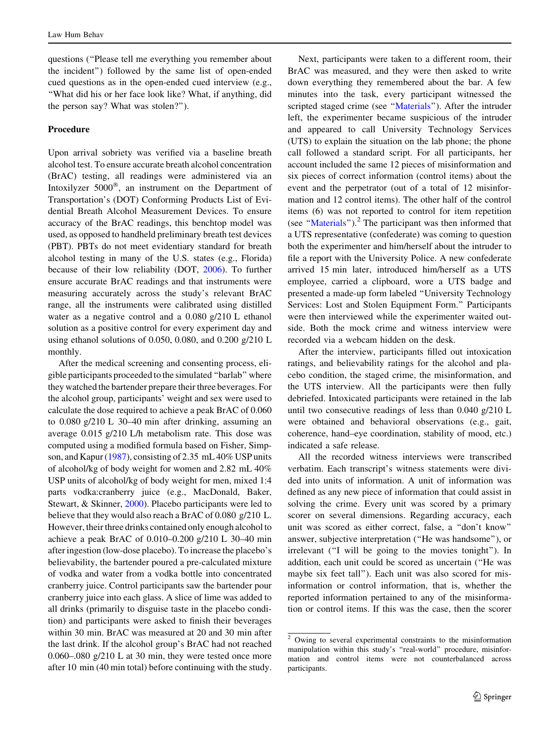<span id="page-4-0"></span>questions (''Please tell me everything you remember about the incident'') followed by the same list of open-ended cued questions as in the open-ended cued interview (e.g., ''What did his or her face look like? What, if anything, did the person say? What was stolen?'').

## Procedure

Upon arrival sobriety was verified via a baseline breath alcohol test. To ensure accurate breath alcohol concentration (BrAC) testing, all readings were administered via an Intoxilyzer  $5000^{\circ\circ}$ , an instrument on the Department of Transportation's (DOT) Conforming Products List of Evidential Breath Alcohol Measurement Devices. To ensure accuracy of the BrAC readings, this benchtop model was used, as opposed to handheld preliminary breath test devices (PBT). PBTs do not meet evidentiary standard for breath alcohol testing in many of the U.S. states (e.g., Florida) because of their low reliability (DOT, [2006](#page-11-0)). To further ensure accurate BrAC readings and that instruments were measuring accurately across the study's relevant BrAC range, all the instruments were calibrated using distilled water as a negative control and a 0.080 g/210 L ethanol solution as a positive control for every experiment day and using ethanol solutions of 0.050, 0.080, and 0.200 g/210 L monthly.

After the medical screening and consenting process, eligible participants proceeded to the simulated ''barlab'' where they watched the bartender prepare their three beverages. For the alcohol group, participants' weight and sex were used to calculate the dose required to achieve a peak BrAC of 0.060 to 0.080 g/210 L 30–40 min after drinking, assuming an average 0.015 g/210 L/h metabolism rate. This dose was computed using a modified formula based on Fisher, Simpson, and Kapur ([1987\)](#page-11-0), consisting of 2.35 mL 40% USP units of alcohol/kg of body weight for women and 2.82 mL 40% USP units of alcohol/kg of body weight for men, mixed 1:4 parts vodka:cranberry juice (e.g., MacDonald, Baker, Stewart, & Skinner, [2000\)](#page-11-0). Placebo participants were led to believe that they would also reach a BrAC of 0.080 g/210 L. However, their three drinks contained only enough alcohol to achieve a peak BrAC of  $0.010 - 0.200$  g/210 L 30-40 min after ingestion (low-dose placebo). To increase the placebo's believability, the bartender poured a pre-calculated mixture of vodka and water from a vodka bottle into concentrated cranberry juice. Control participants saw the bartender pour cranberry juice into each glass. A slice of lime was added to all drinks (primarily to disguise taste in the placebo condition) and participants were asked to finish their beverages within 30 min. BrAC was measured at 20 and 30 min after the last drink. If the alcohol group's BrAC had not reached 0.060–.080 g/210 L at 30 min, they were tested once more after 10 min (40 min total) before continuing with the study.

Next, participants were taken to a different room, their BrAC was measured, and they were then asked to write down everything they remembered about the bar. A few minutes into the task, every participant witnessed the scripted staged crime (see "[Materials](#page-3-0)"). After the intruder left, the experimenter became suspicious of the intruder and appeared to call University Technology Services (UTS) to explain the situation on the lab phone; the phone call followed a standard script. For all participants, her account included the same 12 pieces of misinformation and six pieces of correct information (control items) about the event and the perpetrator (out of a total of 12 misinformation and 12 control items). The other half of the control items (6) was not reported to control for item repetition (see "Materials").<sup>2</sup> The participant was then informed that a UTS representative (confederate) was coming to question both the experimenter and him/herself about the intruder to file a report with the University Police. A new confederate arrived 15 min later, introduced him/herself as a UTS employee, carried a clipboard, wore a UTS badge and presented a made-up form labeled ''University Technology Services: Lost and Stolen Equipment Form.'' Participants were then interviewed while the experimenter waited outside. Both the mock crime and witness interview were recorded via a webcam hidden on the desk.

After the interview, participants filled out intoxication ratings, and believability ratings for the alcohol and placebo condition, the staged crime, the misinformation, and the UTS interview. All the participants were then fully debriefed. Intoxicated participants were retained in the lab until two consecutive readings of less than 0.040 g/210 L were obtained and behavioral observations (e.g., gait, coherence, hand–eye coordination, stability of mood, etc.) indicated a safe release.

All the recorded witness interviews were transcribed verbatim. Each transcript's witness statements were divided into units of information. A unit of information was defined as any new piece of information that could assist in solving the crime. Every unit was scored by a primary scorer on several dimensions. Regarding accuracy, each unit was scored as either correct, false, a ''don't know'' answer, subjective interpretation (''He was handsome''), or irrelevant (''I will be going to the movies tonight''). In addition, each unit could be scored as uncertain (''He was maybe six feet tall''). Each unit was also scored for misinformation or control information, that is, whether the reported information pertained to any of the misinformation or control items. If this was the case, then the scorer

 $\sqrt{2}$  Owing to several experimental constraints to the misinformation manipulation within this study's ''real-world'' procedure, misinformation and control items were not counterbalanced across participants.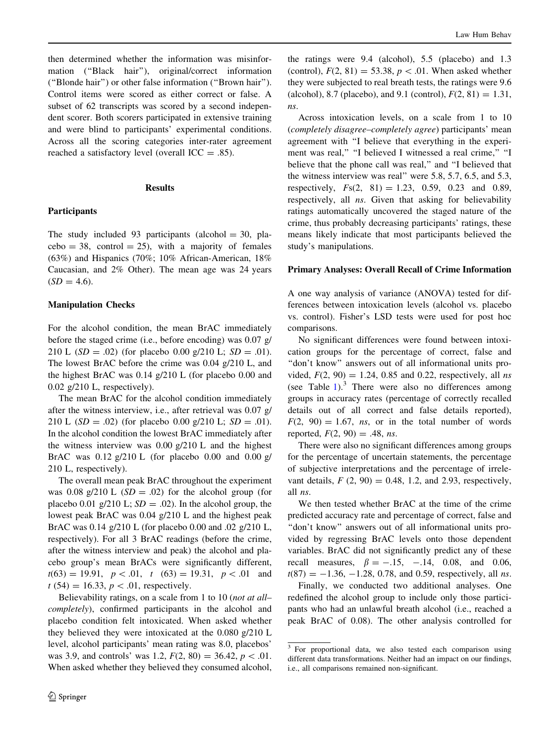then determined whether the information was misinformation (''Black hair''), original/correct information (''Blonde hair'') or other false information (''Brown hair''). Control items were scored as either correct or false. A subset of 62 transcripts was scored by a second independent scorer. Both scorers participated in extensive training and were blind to participants' experimental conditions. Across all the scoring categories inter-rater agreement reached a satisfactory level (overall ICC  $= .85$ ).

## **Results**

## **Participants**

The study included 93 participants (alcohol  $=$  30, pla $cebo = 38$ , control = 25), with a majority of females (63%) and Hispanics (70%; 10% African-American, 18% Caucasian, and 2% Other). The mean age was 24 years  $(SD = 4.6)$ .

## Manipulation Checks

For the alcohol condition, the mean BrAC immediately before the staged crime (i.e., before encoding) was 0.07 g/ 210 L ( $SD = .02$ ) (for placebo 0.00 g/210 L;  $SD = .01$ ). The lowest BrAC before the crime was 0.04 g/210 L, and the highest BrAC was 0.14 g/210 L (for placebo 0.00 and 0.02 g/210 L, respectively).

The mean BrAC for the alcohol condition immediately after the witness interview, i.e., after retrieval was 0.07 g/ 210 L ( $SD = .02$ ) (for placebo 0.00 g/210 L;  $SD = .01$ ). In the alcohol condition the lowest BrAC immediately after the witness interview was 0.00 g/210 L and the highest BrAC was  $0.12$  g/210 L (for placebo 0.00 and 0.00 g/ 210 L, respectively).

The overall mean peak BrAC throughout the experiment was 0.08 g/210 L  $(SD = .02)$  for the alcohol group (for placebo 0.01 g/210 L;  $SD = .02$ ). In the alcohol group, the lowest peak BrAC was 0.04 g/210 L and the highest peak BrAC was 0.14 g/210 L (for placebo 0.00 and .02 g/210 L, respectively). For all 3 BrAC readings (before the crime, after the witness interview and peak) the alcohol and placebo group's mean BrACs were significantly different,  $t(63) = 19.91, p < .01, t (63) = 19.31, p < .01$  and  $t(54) = 16.33, p < .01$ , respectively.

Believability ratings, on a scale from 1 to 10 (not at all– completely), confirmed participants in the alcohol and placebo condition felt intoxicated. When asked whether they believed they were intoxicated at the 0.080 g/210 L level, alcohol participants' mean rating was 8.0, placebos' was 3.9, and controls' was 1.2,  $F(2, 80) = 36.42, p < .01$ . When asked whether they believed they consumed alcohol,

the ratings were 9.4 (alcohol), 5.5 (placebo) and 1.3 (control),  $F(2, 81) = 53.38, p < .01$ . When asked whether they were subjected to real breath tests, the ratings were 9.6 (alcohol), 8.7 (placebo), and 9.1 (control),  $F(2, 81) = 1.31$ , ns.

Across intoxication levels, on a scale from 1 to 10 (completely disagree–completely agree) participants' mean agreement with ''I believe that everything in the experiment was real," "I believed I witnessed a real crime," "I believe that the phone call was real," and "I believed that the witness interview was real'' were 5.8, 5.7, 6.5, and 5.3, respectively,  $Fs(2, 81) = 1.23, 0.59, 0.23$  and 0.89, respectively, all ns. Given that asking for believability ratings automatically uncovered the staged nature of the crime, thus probably decreasing participants' ratings, these means likely indicate that most participants believed the study's manipulations.

#### Primary Analyses: Overall Recall of Crime Information

A one way analysis of variance (ANOVA) tested for differences between intoxication levels (alcohol vs. placebo vs. control). Fisher's LSD tests were used for post hoc comparisons.

No significant differences were found between intoxication groups for the percentage of correct, false and "don't know" answers out of all informational units provided,  $F(2, 90) = 1.24, 0.85$  and 0.22, respectively, all ns (see Table [1](#page-6-0)). $3$  There were also no differences among groups in accuracy rates (percentage of correctly recalled details out of all correct and false details reported),  $F(2, 90) = 1.67$ , ns, or in the total number of words reported,  $F(2, 90) = .48$ , ns.

There were also no significant differences among groups for the percentage of uncertain statements, the percentage of subjective interpretations and the percentage of irrelevant details,  $F(2, 90) = 0.48, 1.2,$  and 2.93, respectively, all ns.

We then tested whether BrAC at the time of the crime predicted accuracy rate and percentage of correct, false and "don't know" answers out of all informational units provided by regressing BrAC levels onto those dependent variables. BrAC did not significantly predict any of these recall measures,  $\beta = -.15, -.14, 0.08, and 0.06,$  $t(87) = -1.36, -1.28, 0.78,$  and 0.59, respectively, all ns.

Finally, we conducted two additional analyses. One redefined the alcohol group to include only those participants who had an unlawful breath alcohol (i.e., reached a peak BrAC of 0.08). The other analysis controlled for

<sup>&</sup>lt;sup>3</sup> For proportional data, we also tested each comparison using different data transformations. Neither had an impact on our findings, i.e., all comparisons remained non-significant.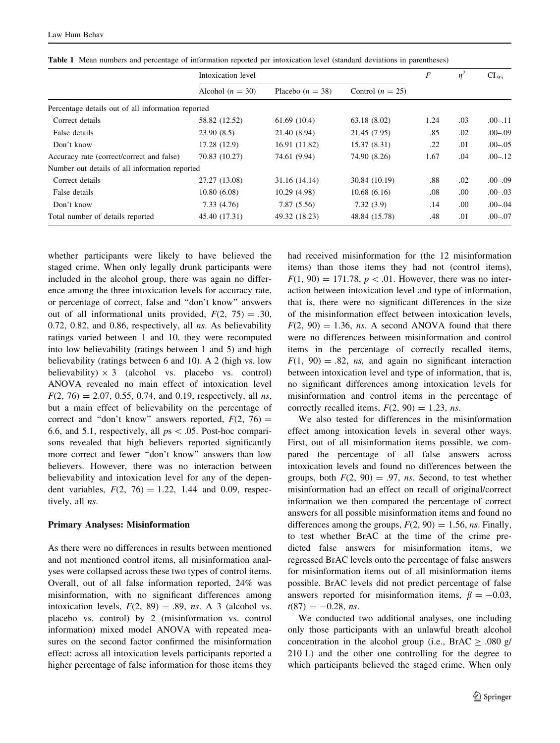|                                                    | Intoxication level |                    |                    | F    | $\eta^2$ | $CI_{.95}$  |
|----------------------------------------------------|--------------------|--------------------|--------------------|------|----------|-------------|
|                                                    | Alcohol $(n = 30)$ | Placebo $(n = 38)$ | Control $(n = 25)$ |      |          |             |
| Percentage details out of all information reported |                    |                    |                    |      |          |             |
| Correct details                                    | 58.82 (12.52)      | 61.69(10.4)        | 63.18 (8.02)       | 1.24 | .03      | $.00 - .11$ |
| False details                                      | 23.90(8.5)         | 21.40 (8.94)       | 21.45 (7.95)       | .85  | .02      | $.00-0.09$  |
| Don't know                                         | 17.28 (12.9)       | 16.91 (11.82)      | 15.37(8.31)        | .22  | .01      | $.00 - .05$ |
| Accuracy rate (correct/correct and false)          | 70.83 (10.27)      | 74.61 (9.94)       | 74.90 (8.26)       | 1.67 | .04      | $.00 - .12$ |
| Number out details of all information reported     |                    |                    |                    |      |          |             |
| Correct details                                    | 27.27 (13.08)      | 31.16 (14.14)      | 30.84 (10.19)      | .88  | .02      | $.00 - .09$ |
| False details                                      | 10.80(6.08)        | 10.29(4.98)        | 10.68(6.16)        | .08  | .00      | $.00-03$    |
| Don't know                                         | 7.33(4.76)         | 7.87 (5.56)        | 7.32(3.9)          | .14  | .00      | $.00 - .04$ |
| Total number of details reported                   | 45.40 (17.31)      | 49.32 (18.23)      | 48.84 (15.78)      | .48  | .01      | $.00-07$    |

<span id="page-6-0"></span>Table 1 Mean numbers and percentage of information reported per intoxication level (standard deviations in parentheses)

whether participants were likely to have believed the staged crime. When only legally drunk participants were included in the alcohol group, there was again no difference among the three intoxication levels for accuracy rate, or percentage of correct, false and ''don't know'' answers out of all informational units provided,  $F(2, 75) = .30$ , 0.72, 0.82, and 0.86, respectively, all ns. As believability ratings varied between 1 and 10, they were recomputed into low believability (ratings between 1 and 5) and high believability (ratings between 6 and 10). A 2 (high vs. low believability)  $\times$  3 (alcohol vs. placebo vs. control) ANOVA revealed no main effect of intoxication level  $F(2, 76) = 2.07, 0.55, 0.74,$  and 0.19, respectively, all ns, but a main effect of believability on the percentage of correct and "don't know" answers reported,  $F(2, 76) =$ 6.6, and 5.1, respectively, all  $ps < .05$ . Post-hoc comparisons revealed that high believers reported significantly more correct and fewer ''don't know'' answers than low believers. However, there was no interaction between believability and intoxication level for any of the dependent variables,  $F(2, 76) = 1.22, 1.44$  and 0.09, respectively, all ns.

#### Primary Analyses: Misinformation

As there were no differences in results between mentioned and not mentioned control items, all misinformation analyses were collapsed across these two types of control items. Overall, out of all false information reported, 24% was misinformation, with no significant differences among intoxication levels,  $F(2, 89) = .89$ , *ns.* A 3 (alcohol vs. placebo vs. control) by 2 (misinformation vs. control information) mixed model ANOVA with repeated measures on the second factor confirmed the misinformation effect: across all intoxication levels participants reported a higher percentage of false information for those items they had received misinformation for (the 12 misinformation items) than those items they had not (control items),  $F(1, 90) = 171.78, p < .01$ . However, there was no interaction between intoxication level and type of information, that is, there were no significant differences in the size of the misinformation effect between intoxication levels,  $F(2, 90) = 1.36$ , *ns.* A second ANOVA found that there were no differences between misinformation and control items in the percentage of correctly recalled items,  $F(1, 90) = .82$ , ns, and again no significant interaction between intoxication level and type of information, that is, no significant differences among intoxication levels for misinformation and control items in the percentage of correctly recalled items,  $F(2, 90) = 1.23$ , ns.

We also tested for differences in the misinformation effect among intoxication levels in several other ways. First, out of all misinformation items possible, we compared the percentage of all false answers across intoxication levels and found no differences between the groups, both  $F(2, 90) = .97$ , *ns.* Second, to test whether misinformation had an effect on recall of original/correct information we then compared the percentage of correct answers for all possible misinformation items and found no differences among the groups,  $F(2, 90) = 1.56$ , ns. Finally, to test whether BrAC at the time of the crime predicted false answers for misinformation items, we regressed BrAC levels onto the percentage of false answers for misinformation items out of all misinformation items possible. BrAC levels did not predict percentage of false answers reported for misinformation items,  $\beta = -0.03$ ,  $t(87) = -0.28$ , ns.

We conducted two additional analyses, one including only those participants with an unlawful breath alcohol concentration in the alcohol group (i.e., BrAC  $\geq$  .080 g/ 210 L) and the other one controlling for the degree to which participants believed the staged crime. When only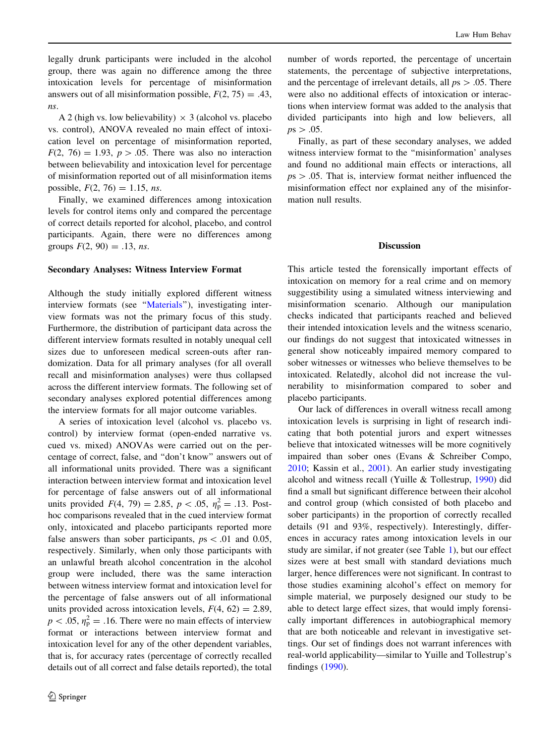legally drunk participants were included in the alcohol group, there was again no difference among the three intoxication levels for percentage of misinformation answers out of all misinformation possible,  $F(2, 75) = .43$ , ns.

A 2 (high vs. low believability)  $\times$  3 (alcohol vs. placebo vs. control), ANOVA revealed no main effect of intoxication level on percentage of misinformation reported,  $F(2, 76) = 1.93$ ,  $p > .05$ . There was also no interaction between believability and intoxication level for percentage of misinformation reported out of all misinformation items possible,  $F(2, 76) = 1.15$ , ns.

Finally, we examined differences among intoxication levels for control items only and compared the percentage of correct details reported for alcohol, placebo, and control participants. Again, there were no differences among groups  $F(2, 90) = .13$ , ns.

#### Secondary Analyses: Witness Interview Format

Although the study initially explored different witness interview formats (see "Materials"), investigating interview formats was not the primary focus of this study. Furthermore, the distribution of participant data across the different interview formats resulted in notably unequal cell sizes due to unforeseen medical screen-outs after randomization. Data for all primary analyses (for all overall recall and misinformation analyses) were thus collapsed across the different interview formats. The following set of secondary analyses explored potential differences among the interview formats for all major outcome variables.

A series of intoxication level (alcohol vs. placebo vs. control) by interview format (open-ended narrative vs. cued vs. mixed) ANOVAs were carried out on the percentage of correct, false, and ''don't know'' answers out of all informational units provided. There was a significant interaction between interview format and intoxication level for percentage of false answers out of all informational units provided  $F(4, 79) = 2.85, p < .05, \eta_p^2 = .13$ . Posthoc comparisons revealed that in the cued interview format only, intoxicated and placebo participants reported more false answers than sober participants,  $ps\lt 0.01$  and 0.05, respectively. Similarly, when only those participants with an unlawful breath alcohol concentration in the alcohol group were included, there was the same interaction between witness interview format and intoxication level for the percentage of false answers out of all informational units provided across intoxication levels,  $F(4, 62) = 2.89$ ,  $p < .05$ ,  $\eta_{\rm p}^2 = .16$ . There were no main effects of interview format or interactions between interview format and intoxication level for any of the other dependent variables, that is, for accuracy rates (percentage of correctly recalled details out of all correct and false details reported), the total number of words reported, the percentage of uncertain statements, the percentage of subjective interpretations, and the percentage of irrelevant details, all  $ps > .05$ . There were also no additional effects of intoxication or interactions when interview format was added to the analysis that divided participants into high and low believers, all  $ps > .05$ .

Finally, as part of these secondary analyses, we added witness interview format to the ''misinformation' analyses and found no additional main effects or interactions, all  $ps > .05$ . That is, interview format neither influenced the misinformation effect nor explained any of the misinformation null results.

#### **Discussion**

This article tested the forensically important effects of intoxication on memory for a real crime and on memory suggestibility using a simulated witness interviewing and misinformation scenario. Although our manipulation checks indicated that participants reached and believed their intended intoxication levels and the witness scenario, our findings do not suggest that intoxicated witnesses in general show noticeably impaired memory compared to sober witnesses or witnesses who believe themselves to be intoxicated. Relatedly, alcohol did not increase the vulnerability to misinformation compared to sober and placebo participants.

Our lack of differences in overall witness recall among intoxication levels is surprising in light of research indicating that both potential jurors and expert witnesses believe that intoxicated witnesses will be more cognitively impaired than sober ones (Evans & Schreiber Compo, [2010](#page-11-0); Kassin et al., [2001](#page-11-0)). An earlier study investigating alcohol and witness recall (Yuille & Tollestrup, [1990\)](#page-12-0) did find a small but significant difference between their alcohol and control group (which consisted of both placebo and sober participants) in the proportion of correctly recalled details (91 and 93%, respectively). Interestingly, differences in accuracy rates among intoxication levels in our study are similar, if not greater (see Table [1\)](#page-6-0), but our effect sizes were at best small with standard deviations much larger, hence differences were not significant. In contrast to those studies examining alcohol's effect on memory for simple material, we purposely designed our study to be able to detect large effect sizes, that would imply forensically important differences in autobiographical memory that are both noticeable and relevant in investigative settings. Our set of findings does not warrant inferences with real-world applicability—similar to Yuille and Tollestrup's findings ([1990\)](#page-12-0).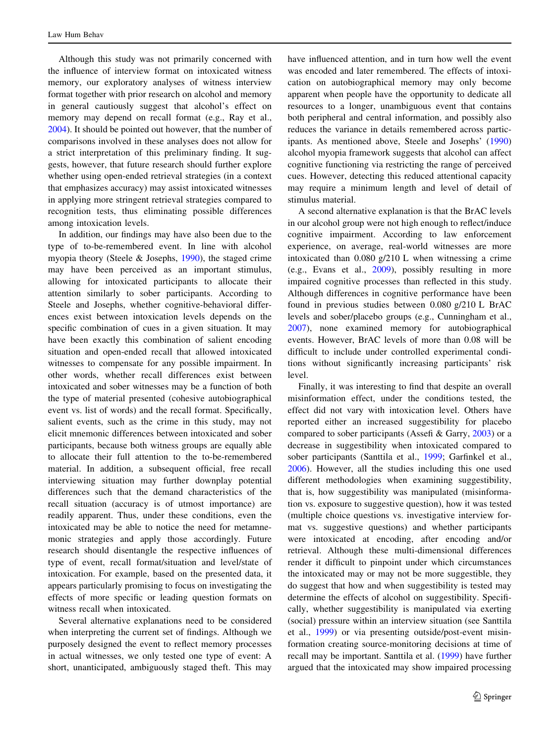Although this study was not primarily concerned with the influence of interview format on intoxicated witness memory, our exploratory analyses of witness interview format together with prior research on alcohol and memory in general cautiously suggest that alcohol's effect on memory may depend on recall format (e.g., Ray et al., [2004\)](#page-12-0). It should be pointed out however, that the number of comparisons involved in these analyses does not allow for a strict interpretation of this preliminary finding. It suggests, however, that future research should further explore whether using open-ended retrieval strategies (in a context that emphasizes accuracy) may assist intoxicated witnesses in applying more stringent retrieval strategies compared to recognition tests, thus eliminating possible differences among intoxication levels.

In addition, our findings may have also been due to the type of to-be-remembered event. In line with alcohol myopia theory (Steele & Josephs, [1990\)](#page-12-0), the staged crime may have been perceived as an important stimulus, allowing for intoxicated participants to allocate their attention similarly to sober participants. According to Steele and Josephs, whether cognitive-behavioral differences exist between intoxication levels depends on the specific combination of cues in a given situation. It may have been exactly this combination of salient encoding situation and open-ended recall that allowed intoxicated witnesses to compensate for any possible impairment. In other words, whether recall differences exist between intoxicated and sober witnesses may be a function of both the type of material presented (cohesive autobiographical event vs. list of words) and the recall format. Specifically, salient events, such as the crime in this study, may not elicit mnemonic differences between intoxicated and sober participants, because both witness groups are equally able to allocate their full attention to the to-be-remembered material. In addition, a subsequent official, free recall interviewing situation may further downplay potential differences such that the demand characteristics of the recall situation (accuracy is of utmost importance) are readily apparent. Thus, under these conditions, even the intoxicated may be able to notice the need for metamnemonic strategies and apply those accordingly. Future research should disentangle the respective influences of type of event, recall format/situation and level/state of intoxication. For example, based on the presented data, it appears particularly promising to focus on investigating the effects of more specific or leading question formats on witness recall when intoxicated.

Several alternative explanations need to be considered when interpreting the current set of findings. Although we purposely designed the event to reflect memory processes in actual witnesses, we only tested one type of event: A short, unanticipated, ambiguously staged theft. This may have influenced attention, and in turn how well the event was encoded and later remembered. The effects of intoxication on autobiographical memory may only become apparent when people have the opportunity to dedicate all resources to a longer, unambiguous event that contains both peripheral and central information, and possibly also reduces the variance in details remembered across participants. As mentioned above, Steele and Josephs' ([1990\)](#page-12-0) alcohol myopia framework suggests that alcohol can affect cognitive functioning via restricting the range of perceived cues. However, detecting this reduced attentional capacity may require a minimum length and level of detail of stimulus material.

A second alternative explanation is that the BrAC levels in our alcohol group were not high enough to reflect/induce cognitive impairment. According to law enforcement experience, on average, real-world witnesses are more intoxicated than 0.080 g/210 L when witnessing a crime (e.g., Evans et al., [2009](#page-11-0)), possibly resulting in more impaired cognitive processes than reflected in this study. Although differences in cognitive performance have been found in previous studies between 0.080 g/210 L BrAC levels and sober/placebo groups (e.g., Cunningham et al., [2007](#page-11-0)), none examined memory for autobiographical events. However, BrAC levels of more than 0.08 will be difficult to include under controlled experimental conditions without significantly increasing participants' risk level.

Finally, it was interesting to find that despite an overall misinformation effect, under the conditions tested, the effect did not vary with intoxication level. Others have reported either an increased suggestibility for placebo compared to sober participants (Assefi & Garry, [2003\)](#page-11-0) or a decrease in suggestibility when intoxicated compared to sober participants (Santtila et al., [1999;](#page-12-0) Garfinkel et al., [2006](#page-11-0)). However, all the studies including this one used different methodologies when examining suggestibility, that is, how suggestibility was manipulated (misinformation vs. exposure to suggestive question), how it was tested (multiple choice questions vs. investigative interview format vs. suggestive questions) and whether participants were intoxicated at encoding, after encoding and/or retrieval. Although these multi-dimensional differences render it difficult to pinpoint under which circumstances the intoxicated may or may not be more suggestible, they do suggest that how and when suggestibility is tested may determine the effects of alcohol on suggestibility. Specifically, whether suggestibility is manipulated via exerting (social) pressure within an interview situation (see Santtila et al., [1999](#page-12-0)) or via presenting outside/post-event misinformation creating source-monitoring decisions at time of recall may be important. Santtila et al. ([1999\)](#page-12-0) have further argued that the intoxicated may show impaired processing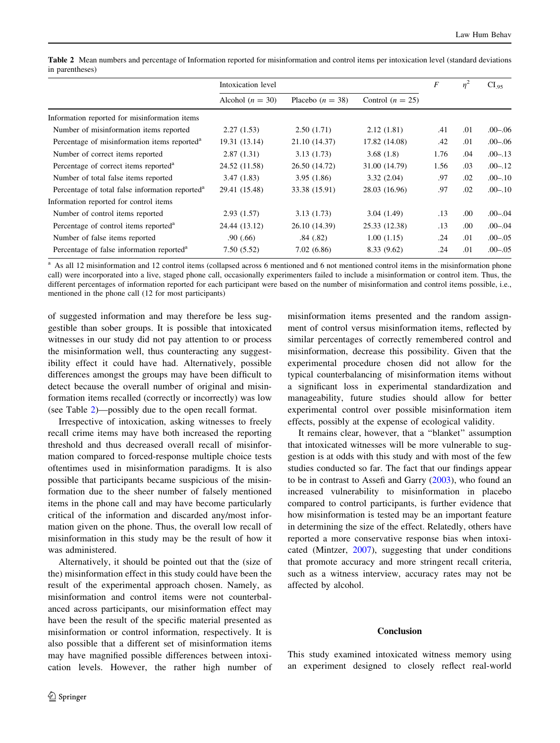|                 | Table 2 Mean numbers and percentage of Information reported for misinformation and control items per intoxication level (standard deviations |  |
|-----------------|----------------------------------------------------------------------------------------------------------------------------------------------|--|
| in parentheses) |                                                                                                                                              |  |

|                                                             | Intoxication level |                    |                    | $\overline{F}$ | $\eta^2$ | $CI_{.95}$  |
|-------------------------------------------------------------|--------------------|--------------------|--------------------|----------------|----------|-------------|
|                                                             | Alcohol $(n = 30)$ | Placebo $(n = 38)$ | Control $(n = 25)$ |                |          |             |
| Information reported for misinformation items               |                    |                    |                    |                |          |             |
| Number of misinformation items reported                     | 2.27(1.53)         | 2.50(1.71)         | 2.12(1.81)         | .41            | .01      | $.00-0.06$  |
| Percentage of misinformation items reported <sup>a</sup>    | 19.31 (13.14)      | 21.10 (14.37)      | 17.82 (14.08)      | .42            | .01      | $.00 - .06$ |
| Number of correct items reported                            | 2.87(1.31)         | 3.13(1.73)         | 3.68(1.8)          | 1.76           | .04      | $.00 - .13$ |
| Percentage of correct items reported <sup>a</sup>           | 24.52 (11.58)      | 26.50 (14.72)      | 31.00 (14.79)      | 1.56           | .03      | $.00 - .12$ |
| Number of total false items reported                        | 3.47(1.83)         | 3.95(1.86)         | 3.32(2.04)         | .97            | .02      | $.00 - .10$ |
| Percentage of total false information reported <sup>a</sup> | 29.41 (15.48)      | 33.38 (15.91)      | 28.03 (16.96)      | .97            | .02      | $.00 - .10$ |
| Information reported for control items                      |                    |                    |                    |                |          |             |
| Number of control items reported                            | 2.93(1.57)         | 3.13(1.73)         | 3.04(1.49)         | .13            | .00.     | $.00 - .04$ |
| Percentage of control items reported <sup>a</sup>           | 24.44 (13.12)      | 26.10 (14.39)      | 25.33 (12.38)      | .13            | .00.     | $.00 - .04$ |
| Number of false items reported                              | .90(.66)           | .84(.82)           | 1.00(1.15)         | .24            | .01      | $.00 - .05$ |
| Percentage of false information reported <sup>a</sup>       | 7.50 (5.52)        | 7.02(6.86)         | 8.33 (9.62)        | .24            | .01      | $.00 - .05$ |

<sup>a</sup> As all 12 misinformation and 12 control items (collapsed across 6 mentioned and 6 not mentioned control items in the misinformation phone call) were incorporated into a live, staged phone call, occasionally experimenters failed to include a misinformation or control item. Thus, the different percentages of information reported for each participant were based on the number of misinformation and control items possible, i.e., mentioned in the phone call (12 for most participants)

of suggested information and may therefore be less suggestible than sober groups. It is possible that intoxicated witnesses in our study did not pay attention to or process the misinformation well, thus counteracting any suggestibility effect it could have had. Alternatively, possible differences amongst the groups may have been difficult to detect because the overall number of original and misinformation items recalled (correctly or incorrectly) was low (see Table 2)—possibly due to the open recall format.

Irrespective of intoxication, asking witnesses to freely recall crime items may have both increased the reporting threshold and thus decreased overall recall of misinformation compared to forced-response multiple choice tests oftentimes used in misinformation paradigms. It is also possible that participants became suspicious of the misinformation due to the sheer number of falsely mentioned items in the phone call and may have become particularly critical of the information and discarded any/most information given on the phone. Thus, the overall low recall of misinformation in this study may be the result of how it was administered.

Alternatively, it should be pointed out that the (size of the) misinformation effect in this study could have been the result of the experimental approach chosen. Namely, as misinformation and control items were not counterbalanced across participants, our misinformation effect may have been the result of the specific material presented as misinformation or control information, respectively. It is also possible that a different set of misinformation items may have magnified possible differences between intoxication levels. However, the rather high number of misinformation items presented and the random assignment of control versus misinformation items, reflected by similar percentages of correctly remembered control and misinformation, decrease this possibility. Given that the experimental procedure chosen did not allow for the typical counterbalancing of misinformation items without a significant loss in experimental standardization and manageability, future studies should allow for better experimental control over possible misinformation item effects, possibly at the expense of ecological validity.

It remains clear, however, that a ''blanket'' assumption that intoxicated witnesses will be more vulnerable to suggestion is at odds with this study and with most of the few studies conducted so far. The fact that our findings appear to be in contrast to Assefi and Garry ([2003\)](#page-11-0), who found an increased vulnerability to misinformation in placebo compared to control participants, is further evidence that how misinformation is tested may be an important feature in determining the size of the effect. Relatedly, others have reported a more conservative response bias when intoxicated (Mintzer, [2007](#page-11-0)), suggesting that under conditions that promote accuracy and more stringent recall criteria, such as a witness interview, accuracy rates may not be affected by alcohol.

#### Conclusion

This study examined intoxicated witness memory using an experiment designed to closely reflect real-world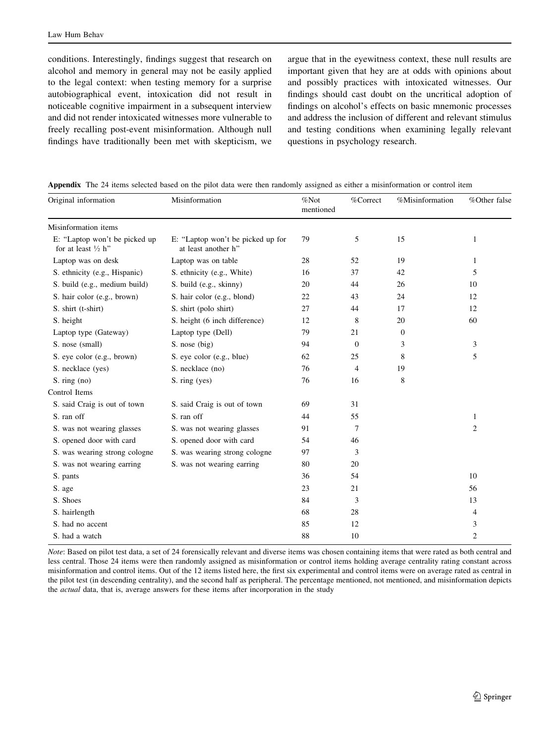conditions. Interestingly, findings suggest that research on alcohol and memory in general may not be easily applied to the legal context: when testing memory for a surprise autobiographical event, intoxication did not result in noticeable cognitive impairment in a subsequent interview and did not render intoxicated witnesses more vulnerable to freely recalling post-event misinformation. Although null findings have traditionally been met with skepticism, we argue that in the eyewitness context, these null results are important given that hey are at odds with opinions about and possibly practices with intoxicated witnesses. Our findings should cast doubt on the uncritical adoption of findings on alcohol's effects on basic mnemonic processes and address the inclusion of different and relevant stimulus and testing conditions when examining legally relevant questions in psychology research.

Appendix The 24 items selected based on the pilot data were then randomly assigned as either a misinformation or control item

| Original information                                           | Misinformation                                           | %Not<br>mentioned | %Correct       | %Misinformation | %Other false   |
|----------------------------------------------------------------|----------------------------------------------------------|-------------------|----------------|-----------------|----------------|
| Misinformation items                                           |                                                          |                   |                |                 |                |
| E: "Laptop won't be picked up<br>for at least $\frac{1}{2}$ h" | E: "Laptop won't be picked up for<br>at least another h" | 79                | 5              | 15              | $\mathbf{1}$   |
| Laptop was on desk                                             | Laptop was on table                                      | 28                | 52             | 19              | 1              |
| S. ethnicity (e.g., Hispanic)                                  | S. ethnicity (e.g., White)                               | 16                | 37             | 42              | 5              |
| S. build (e.g., medium build)                                  | S. build (e.g., skinny)                                  | 20                | 44             | 26              | 10             |
| S. hair color (e.g., brown)                                    | S. hair color (e.g., blond)                              | 22                | 43             | 24              | 12             |
| S. shirt (t-shirt)                                             | S. shirt (polo shirt)                                    | 27                | 44             | 17              | 12             |
| S. height                                                      | S. height (6 inch difference)                            | 12                | 8              | 20              | 60             |
| Laptop type (Gateway)                                          | Laptop type (Dell)                                       | 79                | 21             | $\mathbf{0}$    |                |
| S. nose (small)                                                | S. nose (big)                                            | 94                | $\mathbf{0}$   | 3               | 3              |
| S. eye color (e.g., brown)                                     | S. eye color (e.g., blue)                                | 62                | 25             | 8               | 5              |
| S. necklace (yes)                                              | S. necklace (no)                                         | 76                | $\overline{4}$ | 19              |                |
| S. ring (no)                                                   | S. ring (yes)                                            | 76                | 16             | 8               |                |
| Control Items                                                  |                                                          |                   |                |                 |                |
| S. said Craig is out of town                                   | S. said Craig is out of town                             | 69                | 31             |                 |                |
| S. ran off                                                     | S. ran off                                               | 44                | 55             |                 | 1              |
| S. was not wearing glasses                                     | S. was not wearing glasses                               | 91                | 7              |                 | $\overline{c}$ |
| S. opened door with card                                       | S. opened door with card                                 | 54                | 46             |                 |                |
| S. was wearing strong cologne                                  | S. was wearing strong cologne                            | 97                | 3              |                 |                |
| S. was not wearing earring                                     | S. was not wearing earring                               | 80                | 20             |                 |                |
| S. pants                                                       |                                                          | 36                | 54             |                 | 10             |
| S. age                                                         |                                                          | 23                | 21             |                 | 56             |
| S. Shoes                                                       |                                                          | 84                | 3              |                 | 13             |
| S. hairlength                                                  |                                                          | 68                | 28             |                 | 4              |
| S. had no accent                                               |                                                          | 85                | 12             |                 | 3              |
| S. had a watch                                                 |                                                          | 88                | 10             |                 | $\overline{2}$ |

Note: Based on pilot test data, a set of 24 forensically relevant and diverse items was chosen containing items that were rated as both central and less central. Those 24 items were then randomly assigned as misinformation or control items holding average centrality rating constant across misinformation and control items. Out of the 12 items listed here, the first six experimental and control items were on average rated as central in the pilot test (in descending centrality), and the second half as peripheral. The percentage mentioned, not mentioned, and misinformation depicts the *actual* data, that is, average answers for these items after incorporation in the study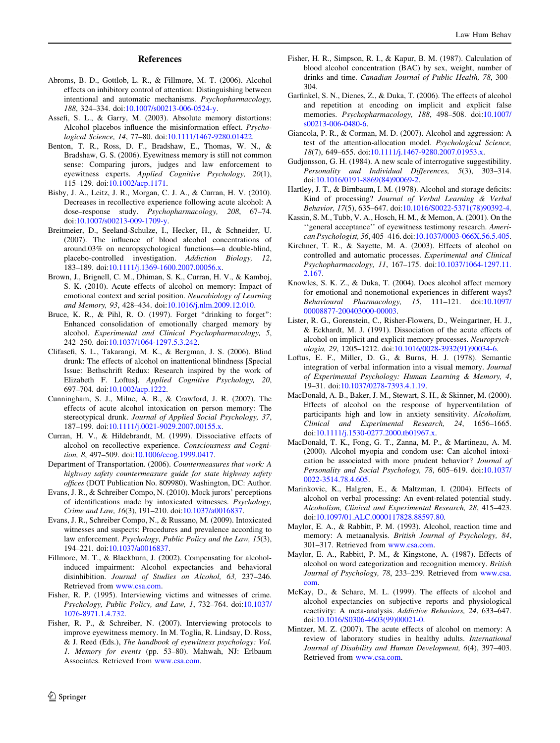#### References

- <span id="page-11-0"></span>Abroms, B. D., Gottlob, L. R., & Fillmore, M. T. (2006). Alcohol effects on inhibitory control of attention: Distinguishing between intentional and automatic mechanisms. Psychopharmacology, 188, 324–334. doi:[10.1007/s00213-006-0524-y](http://dx.doi.org/10.1007/s00213-006-0524-y).
- Assefi, S. L., & Garry, M. (2003). Absolute memory distortions: Alcohol placebos influence the misinformation effect. Psychological Science, 14, 77–80. doi[:10.1111/1467-9280.01422](http://dx.doi.org/10.1111/1467-9280.01422).
- Benton, T. R., Ross, D. F., Bradshaw, E., Thomas, W. N., & Bradshaw, G. S. (2006). Eyewitness memory is still not common sense: Comparing jurors, judges and law enforcement to eyewitness experts. Applied Cognitive Psychology, 20(1), 115–129. doi:[10.1002/acp.1171.](http://dx.doi.org/10.1002/acp.1171)
- Bisby, J. A., Leitz, J. R., Morgan, C. J. A., & Curran, H. V. (2010). Decreases in recollective experience following acute alcohol: A dose–response study. Psychopharmacology, 208, 67–74. doi[:10.1007/s00213-009-1709-y.](http://dx.doi.org/10.1007/s00213-009-1709-y)
- Breitmeier, D., Seeland-Schulze, I., Hecker, H., & Schneider, U. (2007). The influence of blood alcohol concentrations of around.03% on neuropsychological functions—a double-blind, placebo-controlled investigation. Addiction Biology, 12, 183–189. doi:[10.1111/j.1369-1600.2007.00056.x.](http://dx.doi.org/10.1111/j.1369-1600.2007.00056.x)
- Brown, J., Brignell, C. M., Dhiman, S. K., Curran, H. V., & Kamboj, S. K. (2010). Acute effects of alcohol on memory: Impact of emotional context and serial position. Neurobiology of Learning and Memory, 93, 428–434. doi:[10.1016/j.nlm.2009.12.010](http://dx.doi.org/10.1016/j.nlm.2009.12.010).
- Bruce, K. R.,  $\&$  Pihl, R. O. (1997). Forget "drinking to forget": Enhanced consolidation of emotionally charged memory by alcohol. Experimental and Clinical Psychopharmacology, 5, 242–250. doi:[10.1037/1064-1297.5.3.242.](http://dx.doi.org/10.1037/1064-1297.5.3.242)
- Clifasefi, S. L., Takarangi, M. K., & Bergman, J. S. (2006). Blind drunk: The effects of alcohol on inattentional blindness [Special Issue: Bethschrift Redux: Research inspired by the work of Elizabeth F. Loftus]. Applied Cognitive Psychology, 20, 697–704. doi:[10.1002/acp.1222.](http://dx.doi.org/10.1002/acp.1222)
- Cunningham, S. J., Milne, A. B., & Crawford, J. R. (2007). The effects of acute alcohol intoxication on person memory: The stereotypical drunk. Journal of Applied Social Psychology, 37, 187–199. doi:[10.1111/j.0021-9029.2007.00155.x.](http://dx.doi.org/10.1111/j.0021-9029.2007.00155.x)
- Curran, H. V., & Hildebrandt, M. (1999). Dissociative effects of alcohol on recollective experience. Consciousness and Cognition, 8, 497–509. doi[:10.1006/ccog.1999.0417](http://dx.doi.org/10.1006/ccog.1999.0417).
- Department of Transportation. (2006). Countermeasures that work: A highway safety countermeasure guide for state highway safety offices (DOT Publication No. 809980). Washington, DC: Author.
- Evans, J. R., & Schreiber Compo, N. (2010). Mock jurors' perceptions of identifications made by intoxicated witnesses. Psychology, Crime and Law, 16(3), 191–210. doi:[10.1037/a0016837](http://dx.doi.org/10.1037/a0016837).
- Evans, J. R., Schreiber Compo, N., & Russano, M. (2009). Intoxicated witnesses and suspects: Procedures and prevalence according to law enforcement. Psychology, Public Policy and the Law, 15(3), 194–221. doi:[10.1037/a0016837](http://dx.doi.org/10.1037/a0016837).
- Fillmore, M. T., & Blackburn, J. (2002). Compensating for alcoholinduced impairment: Alcohol expectancies and behavioral disinhibition. Journal of Studies on Alcohol, 63, 237–246. Retrieved from [www.csa.com](http://www.csa.com).
- Fisher, R. P. (1995). Interviewing victims and witnesses of crime. Psychology, Public Policy, and Law, 1, 732–764. doi[:10.1037/](http://dx.doi.org/10.1037/1076-8971.1.4.732) [1076-8971.1.4.732](http://dx.doi.org/10.1037/1076-8971.1.4.732).
- Fisher, R. P., & Schreiber, N. (2007). Interviewing protocols to improve eyewitness memory. In M. Toglia, R. Lindsay, D. Ross, & J. Reed (Eds.), The handbook of eyewitness psychology: Vol. 1. Memory for events (pp. 53–80). Mahwah, NJ: Erlbaum Associates. Retrieved from [www.csa.com](http://www.csa.com).
- Fisher, H. R., Simpson, R. I., & Kapur, B. M. (1987). Calculation of blood alcohol concentration (BAC) by sex, weight, number of drinks and time. Canadian Journal of Public Health, 78, 300– 304.
- Garfinkel, S. N., Dienes, Z., & Duka, T. (2006). The effects of alcohol and repetition at encoding on implicit and explicit false memories. Psychopharmacology, 188, 498–508. doi[:10.1007/](http://dx.doi.org/10.1007/s00213-006-0480-6) [s00213-006-0480-6.](http://dx.doi.org/10.1007/s00213-006-0480-6)
- Giancola, P. R., & Corman, M. D. (2007). Alcohol and aggression: A test of the attention-allocation model. Psychological Science, 18(7), 649–655. doi[:10.1111/j.1467-9280.2007.01953.x](http://dx.doi.org/10.1111/j.1467-9280.2007.01953.x).
- Gudjonsson, G. H. (1984). A new scale of interrogative suggestibility. Personality and Individual Differences, 5(3), 303–314. doi[:10.1016/0191-8869\(84\)90069-2](http://dx.doi.org/10.1016/0191-8869(84)90069-2).
- Hartley, J. T., & Birnbaum, I. M. (1978). Alcohol and storage deficits: Kind of processing? Journal of Verbal Learning & Verbal Behavior, 17(5), 635–647. doi[:10.1016/S0022-5371\(78\)90392-4](http://dx.doi.org/10.1016/S0022-5371(78)90392-4).
- Kassin, S. M., Tubb, V. A., Hosch, H. M., & Memon, A. (2001). On the ''general acceptance'' of eyewitness testimony research. American Psychologist, 56, 405–416. doi:[10.1037/0003-066X.56.5.405](http://dx.doi.org/10.1037/0003-066X.56.5.405).
- Kirchner, T. R., & Sayette, M. A. (2003). Effects of alcohol on controlled and automatic processes. Experimental and Clinical Psychopharmacology, 11, 167–175. doi:[10.1037/1064-1297.11.](http://dx.doi.org/10.1037/1064-1297.11.2.167) [2.167](http://dx.doi.org/10.1037/1064-1297.11.2.167).
- Knowles, S. K. Z., & Duka, T. (2004). Does alcohol affect memory for emotional and nonemotional experiences in different ways? Behavioural Pharmacology, 15, 111–121. doi[:10.1097/](http://dx.doi.org/10.1097/00008877-200403000-00003) [00008877-200403000-00003.](http://dx.doi.org/10.1097/00008877-200403000-00003)
- Lister, R. G., Gorenstein, C., Risher-Flowers, D., Weingartner, H. J., & Eckhardt, M. J. (1991). Dissociation of the acute effects of alcohol on implicit and explicit memory processes. Neuropsychologia, 29, 1205–1212. doi[:10.1016/0028-3932\(91\)90034-6](http://dx.doi.org/10.1016/0028-3932(91)90034-6).
- Loftus, E. F., Miller, D. G., & Burns, H. J. (1978). Semantic integration of verbal information into a visual memory. Journal of Experimental Psychology: Human Learning & Memory, 4, 19–31. doi[:10.1037/0278-7393.4.1.19](http://dx.doi.org/10.1037/0278-7393.4.1.19).
- MacDonald, A. B., Baker, J. M., Stewart, S. H., & Skinner, M. (2000). Effects of alcohol on the response of hyperventilation of participants high and low in anxiety sensitivity. Alcoholism, Clinical and Experimental Research, 24, 1656–1665. doi[:10.1111/j.1530-0277.2000.tb01967.x.](http://dx.doi.org/10.1111/j.1530-0277.2000.tb01967.x)
- MacDonald, T. K., Fong, G. T., Zanna, M. P., & Martineau, A. M. (2000). Alcohol myopia and condom use: Can alcohol intoxication be associated with more prudent behavior? Journal of Personality and Social Psychology, 78, 605–619. doi[:10.1037/](http://dx.doi.org/10.1037/0022-3514.78.4.605) [0022-3514.78.4.605.](http://dx.doi.org/10.1037/0022-3514.78.4.605)
- Marinkovic, K., Halgren, E., & Maltzman, I. (2004). Effects of alcohol on verbal processing: An event-related potential study. Alcoholism, Clinical and Experimental Research, 28, 415–423. doi[:10.1097/01.ALC.0000117828.88597.80](http://dx.doi.org/10.1097/01.ALC.0000117828.88597.80).
- Maylor, E. A., & Rabbitt, P. M. (1993). Alcohol, reaction time and memory: A metaanalysis. British Journal of Psychology, 84, 301–317. Retrieved from [www.csa.com.](http://www.csa.com)
- Maylor, E. A., Rabbitt, P. M., & Kingstone, A. (1987). Effects of alcohol on word categorization and recognition memory. British Journal of Psychology, 78, 233-239. Retrieved from [www.csa.](http://www.csa.com) [com.](http://www.csa.com)
- McKay, D., & Schare, M. L. (1999). The effects of alcohol and alcohol expectancies on subjective reports and physiological reactivity: A meta-analysis. Addictive Behaviors, 24, 633–647. doi[:10.1016/S0306-4603\(99\)00021-0](http://dx.doi.org/10.1016/S0306-4603(99)00021-0).
- Mintzer, M. Z. (2007). The acute effects of alcohol on memory: A review of laboratory studies in healthy adults. International Journal of Disability and Human Development, 6(4), 397–403. Retrieved from [www.csa.com](http://www.csa.com).